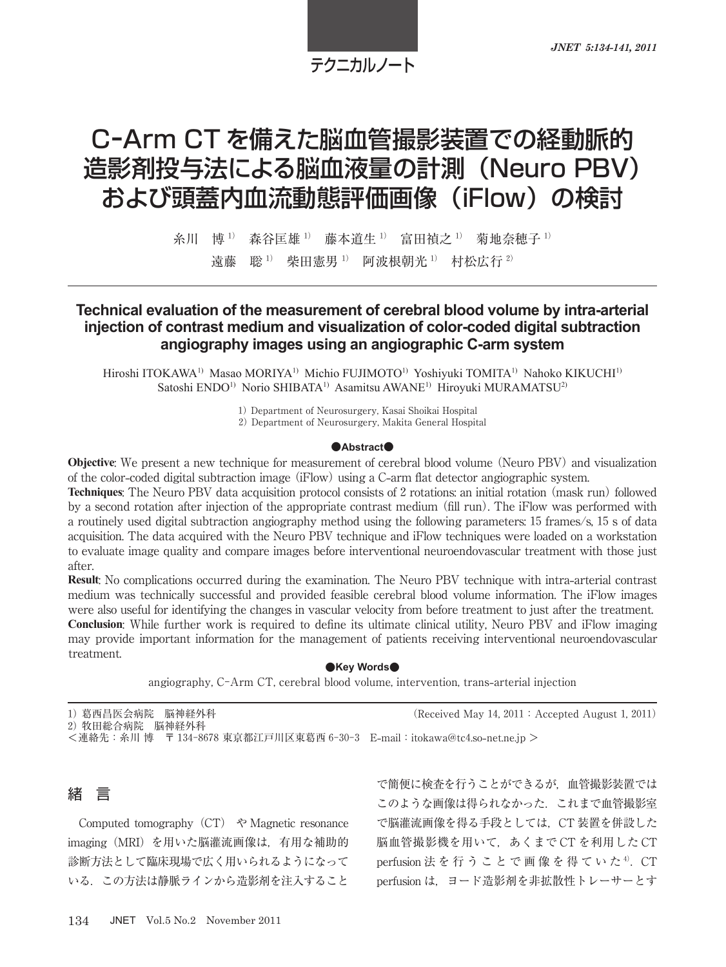# テクニカルノート

# C-Arm CT を備えた脳血管撮影装置での経動脈的 造影剤投与法による脳血液量の計測(Neuro PBV) および頭蓋内血流動態評価画像(iFlow)の検討

糸川 博<sup>1)</sup> 森谷匡雄<sup>1)</sup> 藤本道生<sup>1)</sup> 富田禎之<sup>1)</sup> 菊地奈穂子<sup>1)</sup> 遠藤 聡<sup>1)</sup> 柴田憲男<sup>1)</sup> 阿波根朝光<sup>1)</sup> 村松広行<sup>2)</sup>

## **Technical evaluation of the measurement of cerebral blood volume by intra-arterial injection of contrast medium and visualization of color-coded digital subtraction angiography images using an angiographic C-arm system**

Hiroshi ITOKAWA<sup>1)</sup> Masao MORIYA<sup>1)</sup> Michio FUJIMOTO<sup>1)</sup> Yoshiyuki TOMITA<sup>1)</sup> Nahoko KIKUCHI<sup>1)</sup> Satoshi ENDO<sup>1)</sup> Norio SHIBATA<sup>1)</sup> Asamitsu AWANE<sup>1)</sup> Hiroyuki MURAMATSU<sup>2)</sup>

1) Department of Neurosurgery, Kasai Shoikai Hospital

2) Department of Neurosurgery, Makita General Hospital

#### **●Abstract●**

**Objective**: We present a new technique for measurement of cerebral blood volume (Neuro PBV) and visualization of the color**-**coded digital subtraction image (iFlow) using a C**-**arm flat detector angiographic system.

**Techniques**: The Neuro PBV data acquisition protocol consists of 2 rotations: an initial rotation (mask run) followed by a second rotation after injection of the appropriate contrast medium (fill run). The iFlow was performed with a routinely used digital subtraction angiography method using the following parameters: 15 frames/s, 15 s of data acquisition. The data acquired with the Neuro PBV technique and iFlow techniques were loaded on a workstation to evaluate image quality and compare images before interventional neuroendovascular treatment with those just after.

**Result**: No complications occurred during the examination. The Neuro PBV technique with intra**-**arterial contrast medium was technically successful and provided feasible cerebral blood volume information. The iFlow images were also useful for identifying the changes in vascular velocity from before treatment to just after the treatment. **Conclusion**: While further work is required to define its ultimate clinical utility, Neuro PBV and iFlow imaging may provide important information for the management of patients receiving interventional neuroendovascular treatment.

#### **●Key Words●**

angiography, C-Arm CT, cerebral blood volume, intervention, trans**-**arterial injection

| 1) 葛西昌医会病院 脳神経外科                                                           | (Received May 14, 2011 : Accepted August 1, 2011) |
|----------------------------------------------------------------------------|---------------------------------------------------|
| 2) 牧田総合病院 脳神経外科                                                            |                                                   |
| <連絡先: 糸川 博 〒 134-8678 東京都江戸川区東葛西 6-30-3 E-mail: itokawa@tc4.so-net.ne.jp > |                                                   |



Computed tomography  $(CT)$   $\Diamond$  Magnetic resonance imaging(MRI)を用いた脳灌流画像は,有用な補助的 診断方法として臨床現場で広く用いられるようになって いる. この方法は静脈ラインから造影剤を注入すること

で簡便に検査を行うことができるが,血管撮影装置では このような画像は得られなかった.これまで血管撮影室 で脳灌流画像を得る手段としては,CT 装置を併設した 脳血管撮影機を用いて,あくまで CT を利用した CT perfusion 法 を 行 う こ と で 画 像 を 得 て い た <sup>4)</sup>. CT perfusion は,ヨード造影剤を非拡散性トレーサーとす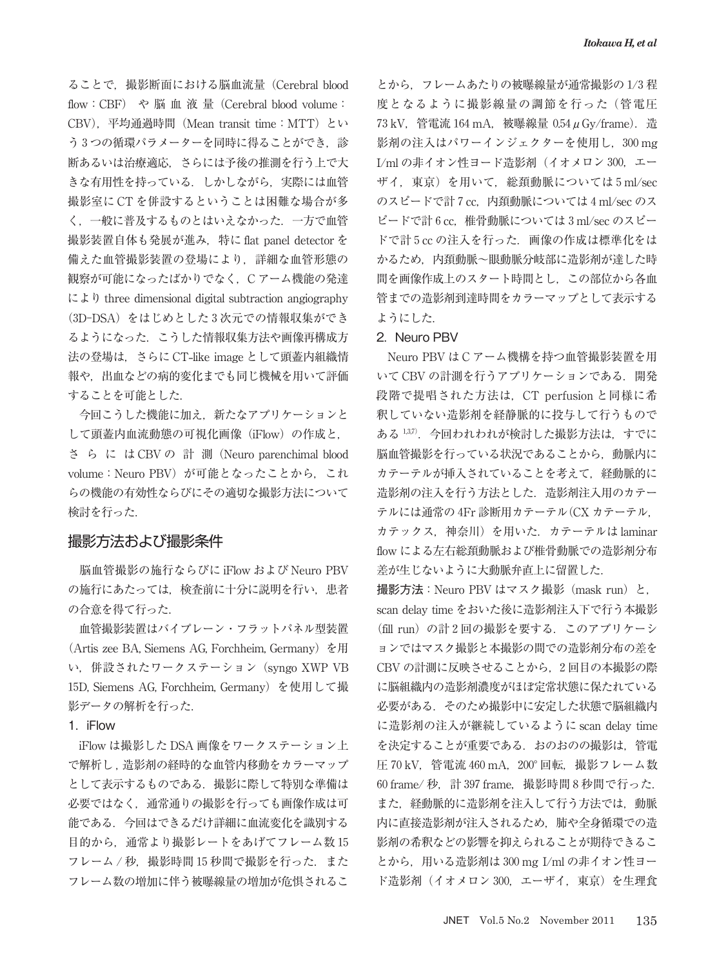ることで,撮影断面における脳血流量(Cerebral blood flow:CBF) や 脳 血 液 量(Cerebral blood volume: CBV),平均通過時間(Mean transit time:MTT)とい う3つの循環パラメーターを同時に得ることができ、診 断あるいは治療適応,さらには予後の推測を行う上で大 きな有用性を持っている.しかしながら,実際には血管 撮影室に CT を併設するということは困難な場合が多 く,一般に普及するものとはいえなかった.一方で血管 撮影装置自体も発展が進み,特に flat panel detector を 備えた血管撮影装置の登場により,詳細な血管形態の 観察が可能になったばかりでなく,C アーム機能の発達 により three dimensional digital subtraction angiography (3D-DSA)をはじめとした 3 次元での情報収集ができ るようになった.こうした情報収集方法や画像再構成方 法の登場は,さらに CT**-**like image として頭蓋内組織情 報や,出血などの病的変化までも同じ機械を用いて評価 することを可能とした.

今回こうした機能に加え,新たなアプリケーションと して頭蓋内血流動態の可視化画像(iFlow)の作成と, さ ら に は CBV の 計 測(Neuro parenchimal blood volume: Neuro PBV) が可能となったことから、これ らの機能の有効性ならびにその適切な撮影方法について 検討を行った.

### 撮影方法および撮影条件

脳血管撮影の施行ならびに iFlow および Neuro PBV の施行にあたっては,検査前に十分に説明を行い,患者 の合意を得て行った.

血管撮影装置はバイプレーン・フラットパネル型装置 (Artis zee BA, Siemens AG, Forchheim, Germany) を用 い,併設されたワークステーション(syngo XWP VB 15D, Siemens AG, Forchheim, Germany)を使用して撮 影データの解析を行った.

#### 1.iFlow

iFlow は撮影した DSA 画像をワークステーション上 で解析し , 造影剤の経時的な血管内移動をカラーマップ として表示するものである.撮影に際して特別な準備は 必要ではなく,通常通りの撮影を行っても画像作成は可 能である.今回はできるだけ詳細に血流変化を識別する 目的から,通常より撮影レートをあげてフレーム数 15 フレーム / 秒, 撮影時間 15 秒間で撮影を行った. また フレーム数の増加に伴う被曝線量の増加が危惧されるこ

とから,フレームあたりの被曝線量が通常撮影の 1/3 程 度となるように撮影線量の調節を行った(管電圧 73 kV, 管電流 164 mA, 被曝線量 0.54 μ Gy/frame). 造 影剤の注入はパワーインジェクターを使用し, 300 mg I/ml の非イオン性ヨード造影剤(イオメロン 300,エー ザイ,東京)を用いて,総頚動脈については 5 ml/sec のスピードで計 7 cc. 内頚動脈については 4 ml/sec のス ピードで計 6 cc,椎骨動脈については 3 ml/sec のスピー ドで計 5 cc の注入を行った.画像の作成は標準化をは かるため,内頚動脈~眼動脈分岐部に造影剤が達した時 間を画像作成上のスタート時間とし,この部位から各血 管までの造影剤到達時間をカラーマップとして表示する ようにした.

#### 2. Neuro PBV

Neuro PBV は C アーム機構を持つ血管撮影装置を用 いて CBV の計測を行うアプリケーションである.開発 段階で提唱された方法は,CT perfusion と同様に希 釈していない造影剤を経静脈的に投与して行うもので ある 137). 今回われわれが検討した撮影方法は、すでに 脳血管撮影を行っている状況であることから,動脈内に カテーテルが挿入されていることを考えて,経動脈的に 造影剤の注入を行う方法とした.造影剤注入用のカテー テルには通常の 4Fr 診断用カテーテル(CX カテーテル, カテックス,神奈川)を用いた.カテーテルは laminar flow による左右総頚動脈および椎骨動脈での造影剤分布 差が生じないように大動脈弁直上に留置した.

撮影方法:Neuro PBV はマスク撮影(mask run)と, scan delay time をおいた後に造影剤注入下で行う本撮影 (fill run)の計 2 回の撮影を要する.このアプリケーシ ョンではマスク撮影と本撮影の間での造影剤分布の差を CBV の計測に反映させることから,2 回目の本撮影の際 に脳組織内の造影剤濃度がほぼ定常状態に保たれている 必要がある.そのため撮影中に安定した状態で脳組織内 に造影剤の注入が継続しているように scan delay time を決定することが重要である.おのおのの撮影は,管電 圧 70 kV,管電流 460 mA,200°回転,撮影フレーム数 60 frame/ 秒, 計 397 frame, 撮影時間 8 秒間で行った. また,経動脈的に造影剤を注入して行う方法では,動脈 内に直接造影剤が注入されるため,肺や全身循環での造 影剤の希釈などの影響を抑えられることが期待できるこ とから、用いる造影剤は 300 mg I/ml の非イオン性ヨー ド造影剤 (イオメロン 300, エーザイ, 東京)を生理食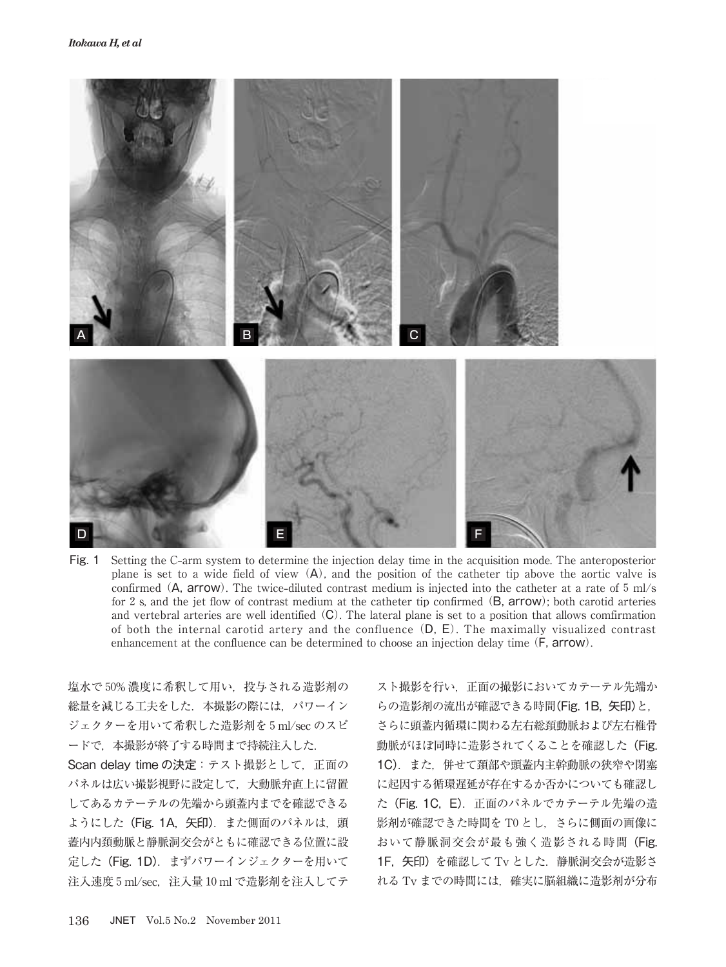

Fig. 1 Setting the C**-**arm system to determine the injection delay time in the acquisition mode. The anteroposterior plane is set to a wide field of view  $(A)$ , and the position of the catheter tip above the aortic valve is confirmed (A, arrow). The twice**-**diluted contrast medium is injected into the catheter at a rate of 5 ml/s for 2 s, and the jet flow of contrast medium at the catheter tip confirmed (B, arrow); both carotid arteries and vertebral arteries are well identified (C). The lateral plane is set to a position that allows comfirmation of both the internal carotid artery and the confluence (D, E). The maximally visualized contrast enhancement at the confluence can be determined to choose an injection delay time (F, arrow).

塩水で 50% 濃度に希釈して用い,投与される造影剤の 総量を減じる工夫をした. 本撮影の際には、パワーイン ジェクターを用いて希釈した造影剤を 5 ml/sec のスピ ードで,本撮影が終了する時間まで持続注入した.

Scan delay time の決定:テスト撮影として、正面の パネルは広い撮影視野に設定して,大動脈弁直上に留置 してあるカテーテルの先端から頭蓋内までを確認できる ようにした (Fig. 1A, 矢印). また側面のパネルは,頭 蓋内内頚動脈と静脈洞交会がともに確認できる位置に設 定した(Fig. 1D).まずパワーインジェクターを用いて 注入速度 5 ml/sec,注入量 10 ml で造影剤を注入してテ

スト撮影を行い,正面の撮影においてカテーテル先端か らの造影剤の流出が確認できる時間(Fig. 1B, 矢印)と, さらに頭蓋内循環に関わる左右総頚動脈および左右椎骨 動脈がほぼ同時に造影されてくることを確認した(Fig. 1C).また,併せて頚部や頭蓋内主幹動脈の狭窄や閉塞 に起因する循環遅延が存在するか否かについても確認し た (Fig. 1C, E). 正面のパネルでカテーテル先端の造 影剤が確認できた時間を T0 とし、さらに側面の画像に おいて静脈洞交会が最も強く造影される時間(Fig. 1F,矢印)を確認して Tv とした.静脈洞交会が造影さ れる Tv までの時間には,確実に脳組織に造影剤が分布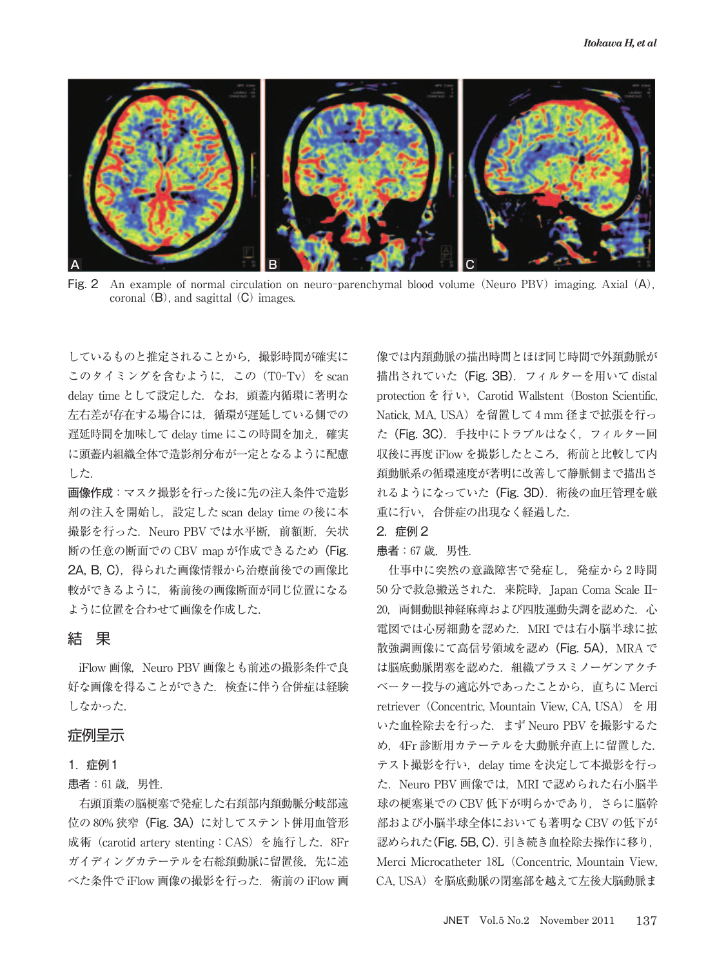

Fig. 2 An example of normal circulation on neuro-parenchymal blood volume (Neuro PBV) imaging. Axial (A), coronal  $(B)$ , and sagittal  $(C)$  images.

しているものと推定されることから,撮影時間が確実に このタイミングを含むように,この(T0-Tv)を scan delay time として設定した. なお、頭蓋内循環に著明な 左右差が存在する場合には,循環が遅延している側での 遅延時間を加味して delay time にこの時間を加え、確実 に頭蓋内組織全体で造影剤分布が一定となるように配慮 した.

画像作成:マスク撮影を行った後に先の注入条件で造影 剤の注入を開始し、設定した scan delay time の後に本 撮影を行った. Neuro PBV では水平断. 前額断. 矢状 断の任意の断面での CBV map が作成できるため(Fig. 2A, B. C). 得られた画像情報から治療前後での画像比 較ができるように,術前後の画像断面が同じ位置になる ように位置を合わせて画像を作成した.

## 結 果

iFlow 画像. Neuro PBV 画像とも前述の撮影条件で良 好な画像を得ることができた.検査に伴う合併症は経験 しなかった.

#### 症例呈示

#### 1.症例1

#### 患者: 61 歳, 男性.

右頭頂葉の脳梗塞で発症した右頚部内頚動脈分岐部遠 位の 80% 狭窄 (Fig. 3A)に対してステント併用血管形 成術 (carotid artery stenting: CAS) を施行した. 8Fr ガイディングカテーテルを右総頚動脈に留置後、先に述 べた条件で iFlow 画像の撮影を行った. 術前の iFlow 画 像では内頚動脈の描出時間とほぼ同じ時間で外頚動脈が 描出されていた(Fig. 3B).フィルターを用いて distal protection  $\hat{\mathcal{E}}$   $\hat{\mathcal{F}}$   $\vee$ , Carotid Wallstent (Boston Scientific, Natick, MA, USA)を留置して 4 mm 径まで拡張を行っ た(Fig. 3C).手技中にトラブルはなく,フィルター回 収後に再度 iFlow を撮影したところ,術前と比較して内 頚動脈系の循環速度が著明に改善して静脈側まで描出さ れるようになっていた (Fig. 3D). 術後の血圧管理を厳 重に行い,合併症の出現なく経過した.

#### 2.症例 2

#### 患者:67 歳,男性.

仕事中に突然の意識障害で発症し,発症から 2 時間 50 分で救急搬送された.来院時,Japan Coma Scale II-20. 両側動眼神経麻痺および四肢運動失調を認めた. 心 電図では心房細動を認めた.MRI では右小脳半球に拡 散強調画像にて高信号領域を認め (Fig. 5A), MRA で は脳底動脈閉塞を認めた.組織プラスミノーゲンアクチ ベーター投与の適応外であったことから,直ちに Merci retriever (Concentric, Mountain View, CA, USA) を用 いた血栓除去を行った. まず Neuro PBV を撮影するた め,4Fr 診断用カテーテルを大動脈弁直上に留置した. テスト撮影を行い、delay time を決定して本撮影を行っ た. Neuro PBV 画像では、MRI で認められた右小脳半 球の梗塞巣での CBV 低下が明らかであり、さらに脳幹 部および小脳半球全体においても著明な CBV の低下が 認められた(Fig. 5B, C).引き続き血栓除去操作に移り, Merci Microcatheter 18L(Concentric, Mountain View, CA, USA)を脳底動脈の閉塞部を越えて左後大脳動脈ま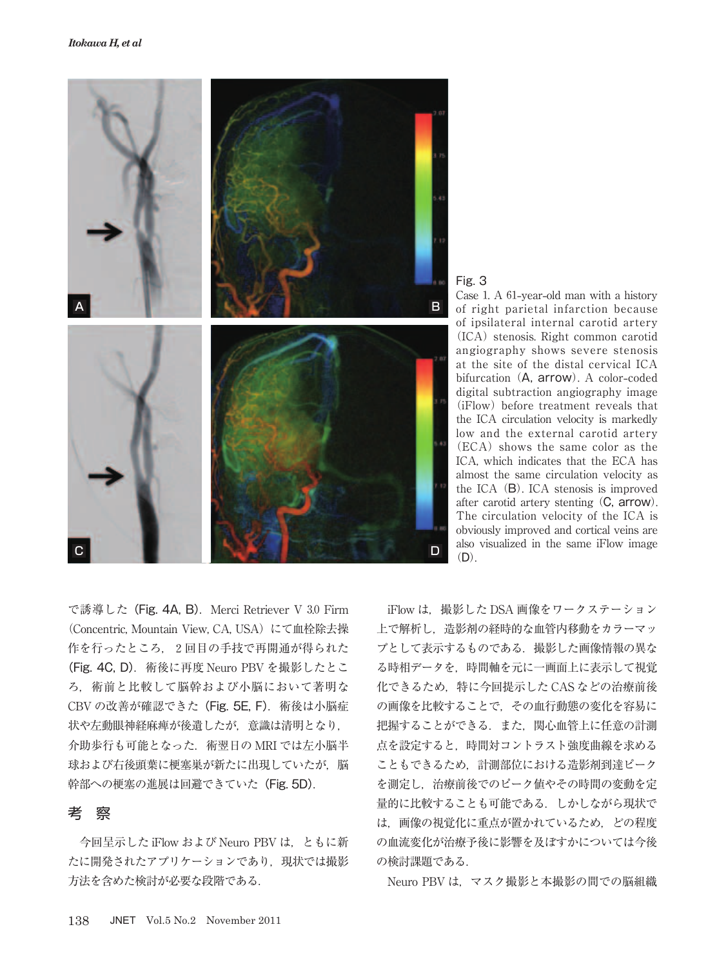



Case 1. A 61**-**year**-**old man with a history of right parietal infarction because of ipsilateral internal carotid artery (ICA) stenosis. Right common carotid angiography shows severe stenosis at the site of the distal cervical ICA bifurcation (A, arrow). A color**-**coded digital subtraction angiography image (iFlow) before treatment reveals that the ICA circulation velocity is markedly low and the external carotid artery (ECA) shows the same color as the ICA, which indicates that the ECA has almost the same circulation velocity as the ICA (B). ICA stenosis is improved after carotid artery stenting (C, arrow). The circulation velocity of the ICA is obviously improved and cortical veins are also visualized in the same iFlow image  $(D)$ .

で誘導した(Fig. 4A, B).Merci Retriever V 3.0 Firm (Concentric, Mountain View, CA, USA)にて血栓除去操 作を行ったところ、2回目の手技で再開通が得られた (Fig. 4C, D). 術後に再度 Neuro PBV を撮影したとこ ろ,術前と比較して脳幹および小脳において著明な CBV の改善が確認できた(Fig. 5E, F).術後は小脳症 状や左動眼神経麻痺が後遺したが,意識は清明となり, 介助歩行も可能となった. 術翌日の MRI では左小脳半 球および右後頭葉に梗塞巣が新たに出現していたが、脳 幹部への梗塞の進展は回避できていた(Fig. 5D).

### 考 察

今回呈示した iFlow および Neuro PBV は,ともに新 たに開発されたアプリケーションであり,現状では撮影 方法を含めた検討が必要な段階である.

iFlow は,撮影した DSA 画像をワークステーション 上で解析し,造影剤の経時的な血管内移動をカラーマッ プとして表示するものである.撮影した画像情報の異な る時相データを,時間軸を元に一画面上に表示して視覚 化できるため,特に今回提示した CAS などの治療前後 の画像を比較することで,その血行動態の変化を容易に 把握することができる.また,関心血管上に任意の計測 点を設定すると,時間対コントラスト強度曲線を求める こともできるため,計測部位における造影剤到達ピーク を測定し,治療前後でのピーク値やその時間の変動を定 量的に比較することも可能である.しかしながら現状で は,画像の視覚化に重点が置かれているため,どの程度 の血流変化が治療予後に影響を及ぼすかについては今後 の検討課題である.

Neuro PBV は、マスク撮影と本撮影の間での脳組織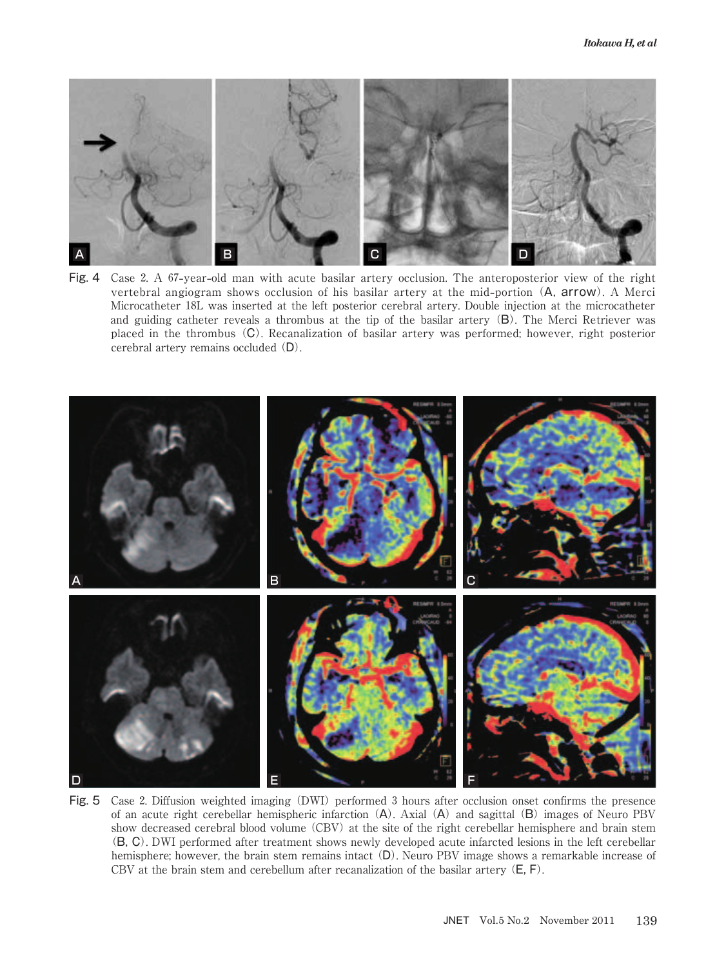

Fig. 4 Case 2. A 67**-**year**-**old man with acute basilar artery occlusion. The anteroposterior view of the right vertebral angiogram shows occlusion of his basilar artery at the mid**-**portion (A, arrow). A Merci Microcatheter 18L was inserted at the left posterior cerebral artery. Double injection at the microcatheter and guiding catheter reveals a thrombus at the tip of the basilar artery (B). The Merci Retriever was placed in the thrombus (C). Recanalization of basilar artery was performed; however, right posterior cerebral artery remains occluded (D).



Fig. 5 Case 2. Diffusion weighted imaging (DWI) performed 3 hours after occlusion onset confirms the presence of an acute right cerebellar hemispheric infarction (A). Axial (A) and sagittal (B) images of Neuro PBV show decreased cerebral blood volume (CBV) at the site of the right cerebellar hemisphere and brain stem (B, C). DWI performed after treatment shows newly developed acute infarcted lesions in the left cerebellar hemisphere; however, the brain stem remains intact (D). Neuro PBV image shows a remarkable increase of CBV at the brain stem and cerebellum after recanalization of the basilar artery  $(E, F)$ .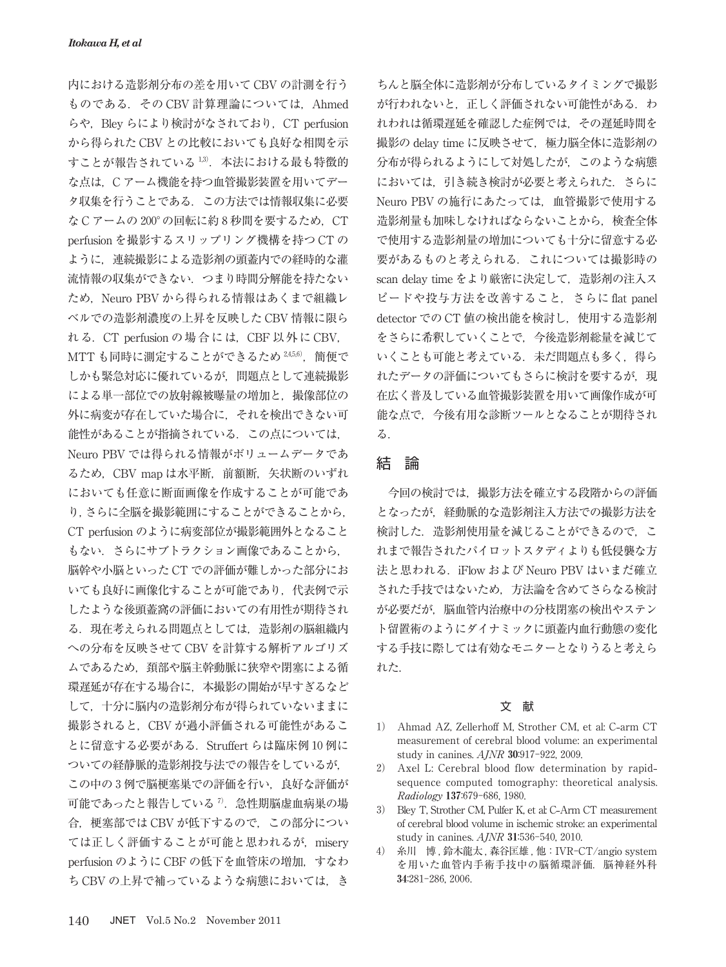内における造影剤分布の差を用いて CBV の計測を行う ものである. その CBV 計算理論については、Ahmed らや, Bley らにより検討がなされており, CT perfusion から得られた CBV との比較においても良好な相関を示 すことが報告されている1,3). 本法における最も特徴的 な点は,C アーム機能を持つ血管撮影装置を用いてデー タ収集を行うことである.この方法では情報収集に必要 な C アームの 200°の回転に約8秒間を要するため. CT perfusion を撮影するスリップリング機構を持つ CT の ように,連続撮影による造影剤の頭蓋内での経時的な灌 流情報の収集ができない.つまり時間分解能を持たない ため, Neuro PBV から得られる情報はあくまで組織レ ベルでの造影剤濃度の上昇を反映した CBV 情報に限ら れる. CT perfusion の場合には, CBF 以外に CBV, MTT も同時に測定することができるため 245,6), 簡便で しかも緊急対応に優れているが,問題点として連続撮影 による単一部位での放射線被曝量の増加と,撮像部位の 外に病変が存在していた場合に,それを検出できない可 能性があることが指摘されている.この点については, Neuro PBV では得られる情報がボリュームデータであ るため、CBV map は水平断, 前額断, 矢状断のいずれ においても任意に断面画像を作成することが可能であ り,さらに全脳を撮影範囲にすることができることから, CT perfusion のように病変部位が撮影範囲外となること もない.さらにサブトラクション画像であることから, 脳幹や小脳といった CT での評価が難しかった部分にお いても良好に画像化することが可能であり,代表例で示 したような後頭蓋窩の評価においての有用性が期待され る.現在考えられる問題点としては,造影剤の脳組織内 への分布を反映させて CBV を計算する解析アルゴリズ ムであるため,頚部や脳主幹動脈に狭窄や閉塞による循 環遅延が存在する場合に,本撮影の開始が早すぎるなど して,十分に脳内の造影剤分布が得られていないままに 撮影されると、CBV が過小評価される可能性があるこ とに留意する必要がある.Struffert らは臨床例 10 例に ついての経静脈的造影剤投与法での報告をしているが, この中の3例で脳梗塞巣での評価を行い、良好な評価が 可能であったと報告している<sup>7</sup>. 急性期脳虚血病巣の場 合,梗塞部では CBV が低下するので,この部分につい ては正しく評価することが可能と思われるが,misery perfusion のように CBF の低下を血管床の増加, すなわ ち CBV の上昇で補っているような病態においては、き

ちんと脳全体に造影剤が分布しているタイミングで撮影 が行われないと、正しく評価されない可能性がある. わ れわれは循環遅延を確認した症例では,その遅延時間を 撮影の delay time に反映させて、極力脳全体に造影剤の 分布が得られるようにして対処したが,このような病態 においては、引き続き検討が必要と考えられた. さらに Neuro PBV の施行にあたっては,血管撮影で使用する 造影剤量も加味しなければならないことから,検査全体 で使用する造影剤量の増加についても十分に留意する必 要があるものと考えられる.これについては撮影時の scan delay time をより厳密に決定して、造影剤の注入ス ピードや投与方法を改善すること,さらに flat panel detector での CT 値の検出能を検討し、使用する造影剤 をさらに希釈していくことで,今後造影剤総量を減じて いくことも可能と考えている. 未だ問題点も多く, 得ら れたデータの評価についてもさらに検討を要するが、現 在広く普及している血管撮影装置を用いて画像作成が可 能な点で,今後有用な診断ツールとなることが期待され る.

## 結 論

今回の検討では,撮影方法を確立する段階からの評価 となったが,経動脈的な造影剤注入方法での撮影方法を 検討した. 造影剤使用量を減じることができるので, こ れまで報告されたパイロットスタディよりも低侵襲な方 法と思われる.iFlow および Neuro PBV はいまだ確立 された手技ではないため,方法論を含めてさらなる検討 が必要だが,脳血管内治療中の分枝閉塞の検出やステン ト留置術のようにダイナミックに頭蓋内血行動態の変化 する手技に際しては有効なモニターとなりうると考えら れた.

#### 文 献

- 1) Ahmad AZ, Zellerhoff M, Strother CM, et al: C**-**arm CT measurement of cerebral blood volume: an experimental study in canines. AJNR 30:917-922, 2009.
- 2) Axel L: Cerebral blood flow determination by rapidsequence computed tomography: theoretical analysis. Radiology 137:679-686, 1980.
- 3) Bley T, Strother CM, Pulfer K, et al: C**-**Arm CT measurement of cerebral blood volume in ischemic stroke: an experimental study in canines. AJNR 31:536-540, 2010.
- 4) 糸川 博 , 鈴木龍太 , 森谷匡雄 , 他:IVR-CT/angio system を用いた血管内手術手技中の脳循環評価. 脳神経外科 34:281-286, 2006.